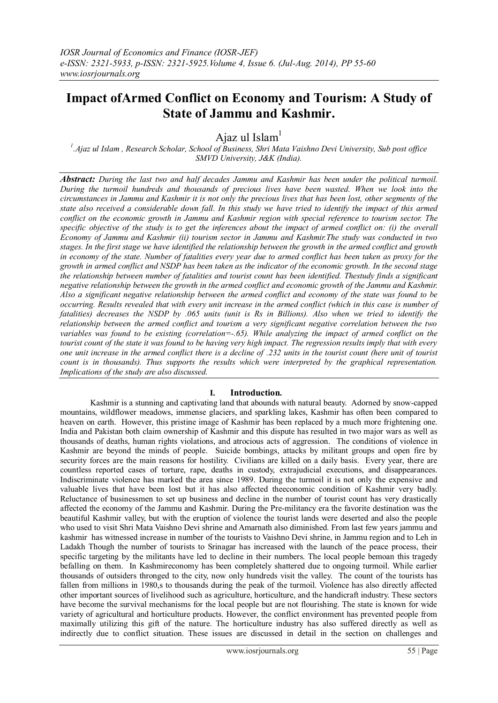# **Impact ofArmed Conflict on Economy and Tourism: A Study of State of Jammu and Kashmir.**

Ajaz ul Islam $<sup>1</sup>$ </sup>

*1 .Ajaz ul Islam , Research Scholar, School of Business, Shri Mata Vaishno Devi University, Sub post office SMVD University, J&K (India).*

*Abstract: During the last two and half decades Jammu and Kashmir has been under the political turmoil. During the turmoil hundreds and thousands of precious lives have been wasted. When we look into the circumstances in Jammu and Kashmir it is not only the precious lives that has been lost, other segments of the state also received a considerable down fall. In this study we have tried to identify the impact of this armed conflict on the economic growth in Jammu and Kashmir region with special reference to tourism sector. The specific objective of the study is to get the inferences about the impact of armed conflict on: (i) the overall Economy of Jammu and Kashmir (ii) tourism sector in Jammu and Kashmir.The study was conducted in two stages. In the first stage we have identified the relationship between the growth in the armed conflict and growth in economy of the state. Number of fatalities every year due to armed conflict has been taken as proxy for the growth in armed conflict and NSDP has been taken as the indicator of the economic growth. In the second stage the relationship between number of fatalities and tourist count has been identified. Thestudy finds a significant negative relationship between the growth in the armed conflict and economic growth of the Jammu and Kashmir. Also a significant negative relationship between the armed conflict and economy of the state was found to be occurring. Results revealed that with every unit increase in the armed conflict (which in this case is number of fatalities) decreases the NSDP by .065 units (unit is Rs in Billions). Also when we tried to identify the relationship between the armed conflict and tourism a very significant negative correlation between the two variables was found to be existing (correlation=-.65). While analyzing the impact of armed conflict on the tourist count of the state it was found to be having very high impact. The regression results imply that with every one unit increase in the armed conflict there is a decline of .232 units in the tourist count (here unit of tourist count is in thousands). Thus supports the results which were interpreted by the graphical representation. Implications of the study are also discussed.*

# **I. Introduction.**

Kashmir is a stunning and captivating land that abounds with natural beauty. Adorned by snow-capped mountains, wildflower meadows, immense glaciers, and sparkling lakes, Kashmir has often been compared to heaven on earth. However, this pristine image of Kashmir has been replaced by a much more frightening one. India and Pakistan both claim ownership of Kashmir and this dispute has resulted in two major wars as well as thousands of deaths, human rights violations, and atrocious acts of aggression. The conditions of violence in Kashmir are beyond the minds of people. Suicide bombings, attacks by militant groups and open fire by security forces are the main reasons for hostility. Civilians are killed on a daily basis. Every year, there are countless reported cases of torture, rape, deaths in custody, extrajudicial executions, and disappearances. Indiscriminate violence has marked the area since 1989. During the turmoil it is not only the expensive and valuable lives that have been lost but it has also affected theeconomic condition of Kashmir very badly. Reluctance of businessmen to set up business and decline in the number of tourist count has very drastically affected the economy of the Jammu and Kashmir. During the Pre-militancy era the favorite destination was the beautiful Kashmir valley, but with the eruption of violence the tourist lands were deserted and also the people who used to visit Shri Mata Vaishno Devi shrine and Amarnath also diminished. From last few years jammu and kashmir has witnessed increase in number of the tourists to Vaishno Devi shrine, in Jammu region and to Leh in Ladakh Though the number of tourists to Srinagar has increased with the launch of the peace process, their specific targeting by the militants have led to decline in their numbers. The local people bemoan this tragedy befalling on them. In Kashmireconomy has been completely shattered due to ongoing turmoil. While earlier thousands of outsiders thronged to the city, now only hundreds visit the valley. The count of the tourists has fallen from millions in 1980,s to thousands during the peak of the turmoil. Violence has also directly affected other important sources of livelihood such as agriculture, horticulture, and the handicraft industry. These sectors have become the survival mechanisms for the local people but are not flourishing. The state is known for wide variety of agricultural and horticulture products. However, the conflict environment has prevented people from maximally utilizing this gift of the nature. The horticulture industry has also suffered directly as well as indirectly due to conflict situation. These issues are discussed in detail in the section on challenges and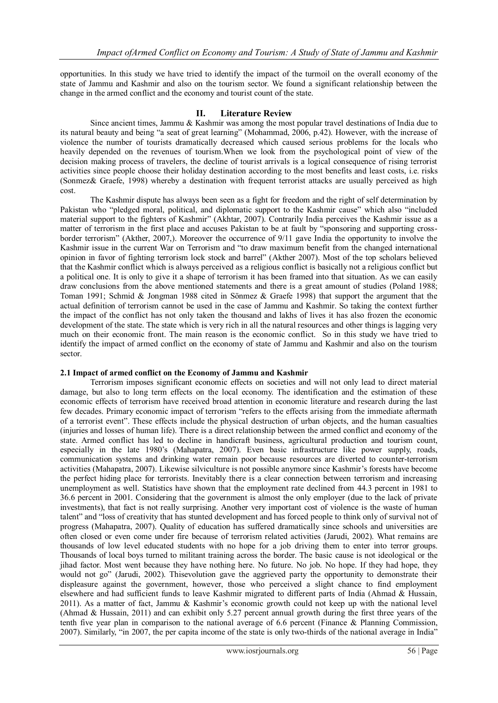opportunities. In this study we have tried to identify the impact of the turmoil on the overall economy of the state of Jammu and Kashmir and also on the tourism sector. We found a significant relationship between the change in the armed conflict and the economy and tourist count of the state.

## **II. Literature Review**

Since ancient times, Jammu & Kashmir was among the most popular travel destinations of India due to its natural beauty and being "a seat of great learning" (Mohammad, 2006, p.42). However, with the increase of violence the number of tourists dramatically decreased which caused serious problems for the locals who heavily depended on the revenues of tourism.When we look from the psychological point of view of the decision making process of travelers, the decline of tourist arrivals is a logical consequence of rising terrorist activities since people choose their holiday destination according to the most benefits and least costs, i.e. risks (Sonmez& Graefe, 1998) whereby a destination with frequent terrorist attacks are usually perceived as high cost.

The Kashmir dispute has always been seen as a fight for freedom and the right of self determination by Pakistan who "pledged moral, political, and diplomatic support to the Kashmir cause" which also "included material support to the fighters of Kashmir" (Akhtar, 2007). Contrarily India perceives the Kashmir issue as a matter of terrorism in the first place and accuses Pakistan to be at fault by "sponsoring and supporting crossborder terrorism" (Akther, 2007,). Moreover the occurrence of 9/11 gave India the opportunity to involve the Kashmir issue in the current War on Terrorism and "to draw maximum benefit from the changed international opinion in favor of fighting terrorism lock stock and barrel" (Akther 2007). Most of the top scholars believed that the Kashmir conflict which is always perceived as a religious conflict is basically not a religious conflict but a political one. It is only to give it a shape of terrorism it has been framed into that situation. As we can easily draw conclusions from the above mentioned statements and there is a great amount of studies (Poland 1988; Toman 1991; Schmid & Jongman 1988 cited in Sönmez & Graefe 1998) that support the argument that the actual definition of terrorism cannot be used in the case of Jammu and Kashmir. So taking the context further the impact of the conflict has not only taken the thousand and lakhs of lives it has also frozen the economic development of the state. The state which is very rich in all the natural resources and other things is lagging very much on their economic front. The main reason is the economic conflict. So in this study we have tried to identify the impact of armed conflict on the economy of state of Jammu and Kashmir and also on the tourism sector.

## **2.1 Impact of armed conflict on the Economy of Jammu and Kashmir**

Terrorism imposes significant economic effects on societies and will not only lead to direct material damage, but also to long term effects on the local economy. The identification and the estimation of these economic effects of terrorism have received broad attention in economic literature and research during the last few decades. Primary economic impact of terrorism "refers to the effects arising from the immediate aftermath of a terrorist event". These effects include the physical destruction of urban objects, and the human casualties (injuries and losses of human life). There is a direct relationship between the armed conflict and economy of the state. Armed conflict has led to decline in handicraft business, agricultural production and tourism count, especially in the late 1980"s (Mahapatra, 2007). Even basic infrastructure like power supply, roads, communication systems and drinking water remain poor because resources are diverted to counter-terrorism activities (Mahapatra, 2007). Likewise silviculture is not possible anymore since Kashmir"s forests have become the perfect hiding place for terrorists. Inevitably there is a clear connection between terrorism and increasing unemployment as well. Statistics have shown that the employment rate declined from 44.3 percent in 1981 to 36.6 percent in 2001. Considering that the government is almost the only employer (due to the lack of private investments), that fact is not really surprising. Another very important cost of violence is the waste of human talent" and "loss of creativity that has stunted development and has forced people to think only of survival not of progress (Mahapatra, 2007). Quality of education has suffered dramatically since schools and universities are often closed or even come under fire because of terrorism related activities (Jarudi, 2002). What remains are thousands of low level educated students with no hope for a job driving them to enter into terror groups. Thousands of local boys turned to militant training across the border. The basic cause is not ideological or the jihad factor. Most went because they have nothing here. No future. No job. No hope. If they had hope, they would not go" (Jarudi, 2002). Thisevolution gave the aggrieved party the opportunity to demonstrate their displeasure against the government, however, those who perceived a slight chance to find employment elsewhere and had sufficient funds to leave Kashmir migrated to different parts of India (Ahmad & Hussain, 2011). As a matter of fact, Jammu & Kashmir"s economic growth could not keep up with the national level (Ahmad & Hussain, 2011) and can exhibit only 5.27 percent annual growth during the first three years of the tenth five year plan in comparison to the national average of 6.6 percent (Finance & Planning Commission, 2007). Similarly, "in 2007, the per capita income of the state is only two-thirds of the national average in India"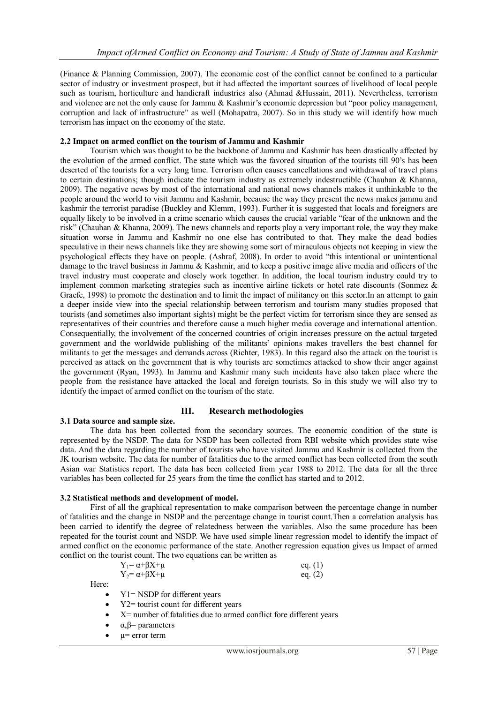(Finance & Planning Commission, 2007). The economic cost of the conflict cannot be confined to a particular sector of industry or investment prospect, but it had affected the important sources of livelihood of local people such as tourism, horticulture and handicraft industries also (Ahmad &Hussain, 2011). Nevertheless, terrorism and violence are not the only cause for Jammu & Kashmir"s economic depression but "poor policy management, corruption and lack of infrastructure" as well (Mohapatra, 2007). So in this study we will identify how much terrorism has impact on the economy of the state.

## **2.2 Impact on armed conflict on the tourism of Jammu and Kashmir**

Tourism which was thought to be the backbone of Jammu and Kashmir has been drastically affected by the evolution of the armed conflict. The state which was the favored situation of the tourists till 90"s has been deserted of the tourists for a very long time. Terrorism often causes cancellations and withdrawal of travel plans to certain destinations; though indicate the tourism industry as extremely indestructible (Chauhan & Khanna, 2009). The negative news by most of the international and national news channels makes it unthinkable to the people around the world to visit Jammu and Kashmir, because the way they present the news makes jammu and kashmir the terrorist paradise (Buckley and Klemm, 1993). Further it is suggested that locals and foreigners are equally likely to be involved in a crime scenario which causes the crucial variable "fear of the unknown and the risk" (Chauhan & Khanna, 2009). The news channels and reports play a very important role, the way they make situation worse in Jammu and Kashmir no one else has contributed to that. They make the dead bodies speculative in their news channels like they are showing some sort of miraculous objects not keeping in view the psychological effects they have on people. (Ashraf, 2008). In order to avoid "this intentional or unintentional damage to the travel business in Jammu & Kashmir, and to keep a positive image alive media and officers of the travel industry must cooperate and closely work together. In addition, the local tourism industry could try to implement common marketing strategies such as incentive airline tickets or hotel rate discounts (Sonmez  $\&$ Graefe, 1998) to promote the destination and to limit the impact of militancy on this sector.In an attempt to gain a deeper inside view into the special relationship between terrorism and tourism many studies proposed that tourists (and sometimes also important sights) might be the perfect victim for terrorism since they are sensed as representatives of their countries and therefore cause a much higher media coverage and international attention. Consequentially, the involvement of the concerned countries of origin increases pressure on the actual targeted government and the worldwide publishing of the militants" opinions makes travellers the best channel for militants to get the messages and demands across (Richter, 1983). In this regard also the attack on the tourist is perceived as attack on the government that is why tourists are sometimes attacked to show their anger against the government (Ryan, 1993). In Jammu and Kashmir many such incidents have also taken place where the people from the resistance have attacked the local and foreign tourists. So in this study we will also try to identify the impact of armed conflict on the tourism of the state.

## **III. Research methodologies**

### **3.1 Data source and sample size.**

The data has been collected from the secondary sources. The economic condition of the state is represented by the NSDP. The data for NSDP has been collected from RBI website which provides state wise data. And the data regarding the number of tourists who have visited Jammu and Kashmir is collected from the JK tourism website. The data for number of fatalities due to the armed conflict has been collected from the south Asian war Statistics report. The data has been collected from year 1988 to 2012. The data for all the three variables has been collected for 25 years from the time the conflict has started and to 2012.

## **3.2 Statistical methods and development of model.**

First of all the graphical representation to make comparison between the percentage change in number of fatalities and the change in NSDP and the percentage change in tourist count.Then a correlation analysis has been carried to identify the degree of relatedness between the variables. Also the same procedure has been repeated for the tourist count and NSDP. We have used simple linear regression model to identify the impact of armed conflict on the economic performance of the state. Another regression equation gives us Impact of armed conflict on the tourist count. The two equations can be written as

| $Y_1 = \alpha + \beta X + \mu$ | eq. (1) |
|--------------------------------|---------|
| $Y_2 = \alpha + \beta X + \mu$ | eq. (2) |

Here:

- Y1= NSDP for different years
- Y2= tourist count for different years
- $\bullet$   $X=$  number of fatalities due to armed conflict fore different years
- α,β= parameters
- µ= error term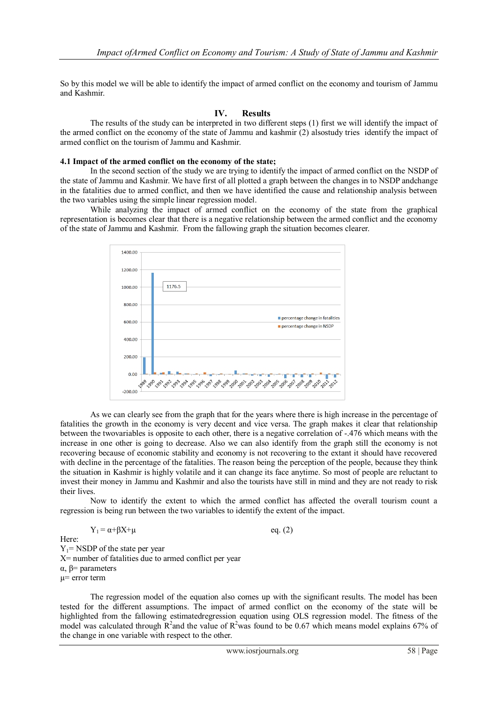So by this model we will be able to identify the impact of armed conflict on the economy and tourism of Jammu and Kashmir.

# **IV. Results**

The results of the study can be interpreted in two different steps (1) first we will identify the impact of the armed conflict on the economy of the state of Jammu and kashmir (2) alsostudy tries identify the impact of armed conflict on the tourism of Jammu and Kashmir.

## **4.1 Impact of the armed conflict on the economy of the state;**

In the second section of the study we are trying to identify the impact of armed conflict on the NSDP of the state of Jammu and Kashmir. We have first of all plotted a graph between the changes in to NSDP andchange in the fatalities due to armed conflict, and then we have identified the cause and relationship analysis between the two variables using the simple linear regression model.

While analyzing the impact of armed conflict on the economy of the state from the graphical representation is becomes clear that there is a negative relationship between the armed conflict and the economy of the state of Jammu and Kashmir. From the fallowing graph the situation becomes clearer.



As we can clearly see from the graph that for the years where there is high increase in the percentage of fatalities the growth in the economy is very decent and vice versa. The graph makes it clear that relationship between the two variables is opposite to each other, there is a negative correlation of -.476 which means with the increase in one other is going to decrease. Also we can also identify from the graph still the economy is not recovering because of economic stability and economy is not recovering to the extant it should have recovered with decline in the percentage of the fatalities. The reason being the perception of the people, because they think the situation in Kashmir is highly volatile and it can change its face anytime. So most of people are reluctant to invest their money in Jammu and Kashmir and also the tourists have still in mind and they are not ready to risk their lives.

Now to identify the extent to which the armed conflict has affected the overall tourism count a regression is being run between the two variables to identify the extent of the impact.

$$
Y_1 = \alpha + \beta X + \mu
$$
 eq. (2)  
Here:  
 
$$
Y_1 = NSDP
$$
 of the state per year  
 
$$
X = number of facilities due to armed conflict per year 
$$
\alpha, \beta = parameters
$$
  
 
$$
\mu = error term
$$
$$

The regression model of the equation also comes up with the significant results. The model has been tested for the different assumptions. The impact of armed conflict on the economy of the state will be highlighted from the fallowing estimatedregression equation using OLS regression model. The fitness of the model was calculated through  $R^2$  and the value of  $R^2$  was found to be 0.67 which means model explains 67% of the change in one variable with respect to the other.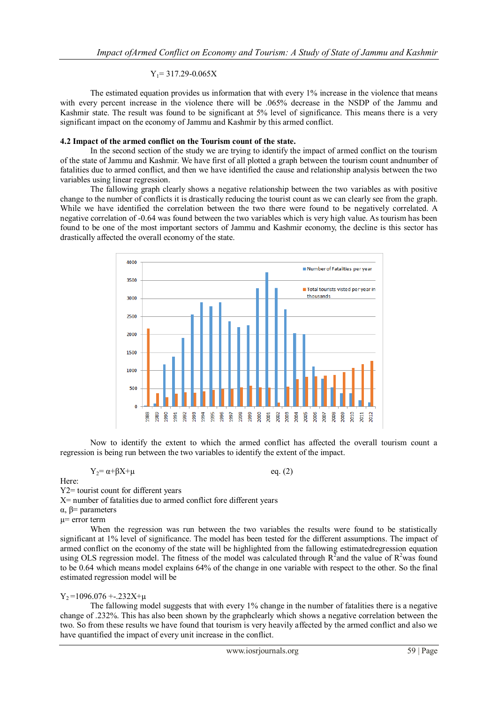## $Y_1$ = 317.29-0.065X

The estimated equation provides us information that with every 1% increase in the violence that means with every percent increase in the violence there will be .065% decrease in the NSDP of the Jammu and Kashmir state. The result was found to be significant at 5% level of significance. This means there is a very significant impact on the economy of Jammu and Kashmir by this armed conflict.

# **4.2 Impact of the armed conflict on the Tourism count of the state.**

In the second section of the study we are trying to identify the impact of armed conflict on the tourism of the state of Jammu and Kashmir. We have first of all plotted a graph between the tourism count andnumber of fatalities due to armed conflict, and then we have identified the cause and relationship analysis between the two variables using linear regression.

The fallowing graph clearly shows a negative relationship between the two variables as with positive change to the number of conflicts it is drastically reducing the tourist count as we can clearly see from the graph. While we have identified the correlation between the two there were found to be negatively correlated. A negative correlation of -0.64 was found between the two variables which is very high value. As tourism has been found to be one of the most important sectors of Jammu and Kashmir economy, the decline is this sector has drastically affected the overall economy of the state.



Now to identify the extent to which the armed conflict has affected the overall tourism count a regression is being run between the two variables to identify the extent of the impact.

 $Y_2 = \alpha + \beta X + \mu$  eq. (2)

Here:

Y2= tourist count for different years

X= number of fatalities due to armed conflict fore different years

α, β= parameters

µ= error term

When the regression was run between the two variables the results were found to be statistically significant at 1% level of significance. The model has been tested for the different assumptions. The impact of armed conflict on the economy of the state will be highlighted from the fallowing estimatedregression equation using OLS regression model. The fitness of the model was calculated through  $R^2$  and the value of  $R^2$  was found to be 0.64 which means model explains 64% of the change in one variable with respect to the other. So the final estimated regression model will be

## $Y_2 = 1096.076 + .232X + \mu$

The fallowing model suggests that with every 1% change in the number of fatalities there is a negative change of .232%. This has also been shown by the graphclearly which shows a negative correlation between the two. So from these results we have found that tourism is very heavily affected by the armed conflict and also we have quantified the impact of every unit increase in the conflict.